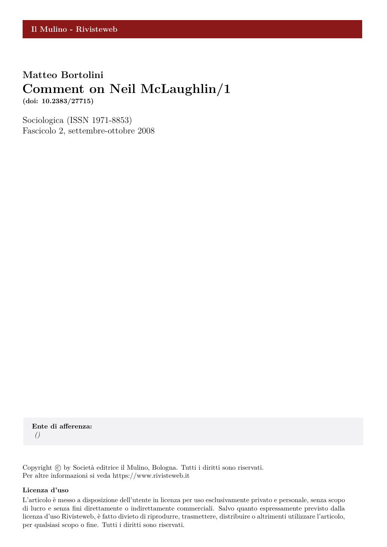## **Matteo Bortolini Comment on Neil McLaughlin/1**

**(doi: 10.2383/27715)**

Sociologica (ISSN 1971-8853) Fascicolo 2, settembre-ottobre 2008

**Ente di afferenza:** *()*

Copyright © by Società editrice il Mulino, Bologna. Tutti i diritti sono riservati. Per altre informazioni si veda https://www.rivisteweb.it

#### **Licenza d'uso**

L'articolo è messo a disposizione dell'utente in licenza per uso esclusivamente privato e personale, senza scopo di lucro e senza fini direttamente o indirettamente commerciali. Salvo quanto espressamente previsto dalla licenza d'uso Rivisteweb, è fatto divieto di riprodurre, trasmettere, distribuire o altrimenti utilizzare l'articolo, per qualsiasi scopo o fine. Tutti i diritti sono riservati.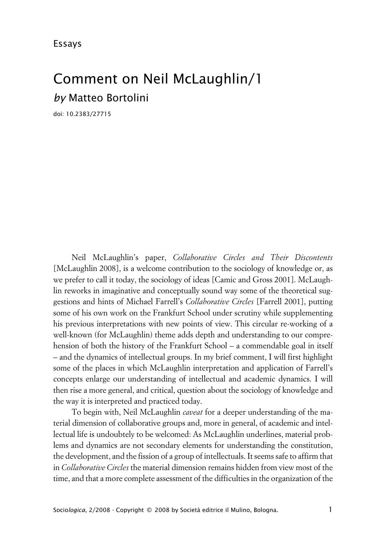# Comment on Neil McLaughlin/1 *by* Matteo Bortolini

doi: 10.2383/27715

Neil McLaughlin's paper, *Collaborative Circles and Their Discontents* [McLaughlin 2008], is a welcome contribution to the sociology of knowledge or, as we prefer to call it today, the sociology of ideas [Camic and Gross 2001]. McLaughlin reworks in imaginative and conceptually sound way some of the theoretical suggestions and hints of Michael Farrell's *Collaborative Circles* [Farrell 2001], putting some of his own work on the Frankfurt School under scrutiny while supplementing his previous interpretations with new points of view. This circular re-working of a well-known (for McLaughlin) theme adds depth and understanding to our comprehension of both the history of the Frankfurt School – a commendable goal in itself – and the dynamics of intellectual groups. In my brief comment, I will first highlight some of the places in which McLaughlin interpretation and application of Farrell's concepts enlarge our understanding of intellectual and academic dynamics. I will then rise a more general, and critical, question about the sociology of knowledge and the way it is interpreted and practiced today.

To begin with, Neil McLaughlin *caveat* for a deeper understanding of the material dimension of collaborative groups and, more in general, of academic and intellectual life is undoubtely to be welcomed: As McLaughlin underlines, material problems and dynamics are not secondary elements for understanding the constitution, the development, and the fission of a group of intellectuals. It seems safe to affirm that in *Collaborative Circles* the material dimension remains hidden from view most of the time, and that a more complete assessment of the difficulties in the organization of the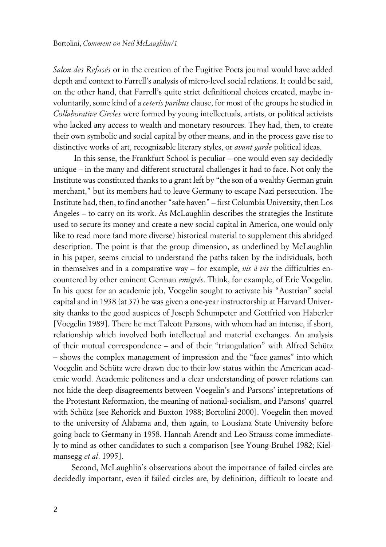*Salon des Refusés* or in the creation of the Fugitive Poets journal would have added depth and context to Farrell's analysis of micro-level social relations. It could be said, on the other hand, that Farrell's quite strict definitional choices created, maybe involuntarily, some kind of a *ceteris paribus* clause, for most of the groups he studied in *Collaborative Circles* were formed by young intellectuals, artists, or political activists who lacked any access to wealth and monetary resources. They had, then, to create their own symbolic and social capital by other means, and in the process gave rise to distinctive works of art, recognizable literary styles, or *avant garde* political ideas.

 In this sense, the Frankfurt School is peculiar – one would even say decidedly unique – in the many and different structural challenges it had to face. Not only the Institute was constituted thanks to a grant left by "the son of a wealthy German grain merchant," but its members had to leave Germany to escape Nazi persecution. The Institute had, then, to find another "safe haven" – first Columbia University, then Los Angeles – to carry on its work. As McLaughlin describes the strategies the Institute used to secure its money and create a new social capital in America, one would only like to read more (and more diverse) historical material to supplement this abridged description. The point is that the group dimension, as underlined by McLaughlin in his paper, seems crucial to understand the paths taken by the individuals, both in themselves and in a comparative way – for example, *vis à vis* the difficulties encountered by other eminent German *emigrés*. Think, for example, of Eric Voegelin. In his quest for an academic job, Voegelin sought to activate his "Austrian" social capital and in 1938 (at 37) he was given a one-year instructorship at Harvard University thanks to the good auspices of Joseph Schumpeter and Gottfried von Haberler [Voegelin 1989]. There he met Talcott Parsons, with whom had an intense, if short, relationship which involved both intellectual and material exchanges. An analysis of their mutual correspondence – and of their "triangulation" with Alfred Schütz – shows the complex management of impression and the "face games" into which Voegelin and Schütz were drawn due to their low status within the American academic world. Academic politeness and a clear understanding of power relations can not hide the deep disagreements between Voegelin's and Parsons' intepretations of the Protestant Reformation, the meaning of national-socialism, and Parsons' quarrel with Schütz [see Rehorick and Buxton 1988; Bortolini 2000]. Voegelin then moved to the university of Alabama and, then again, to Lousiana State University before going back to Germany in 1958. Hannah Arendt and Leo Strauss come immediately to mind as other candidates to such a comparison [see Young-Bruhel 1982; Kielmansegg *et al*. 1995].

Second, McLaughlin's observations about the importance of failed circles are decidedly important, even if failed circles are, by definition, difficult to locate and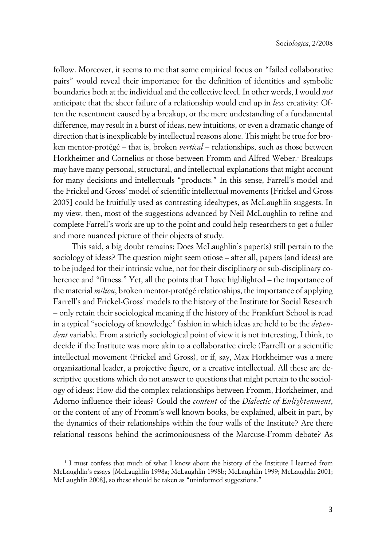follow. Moreover, it seems to me that some empirical focus on "failed collaborative pairs" would reveal their importance for the definition of identities and symbolic boundaries both at the individual and the collective level. In other words, I would *not* anticipate that the sheer failure of a relationship would end up in *less* creativity: Often the resentment caused by a breakup, or the mere undestanding of a fundamental difference, may result in a burst of ideas, new intuitions, or even a dramatic change of direction that is inexplicable by intellectual reasons alone. This might be true for broken mentor-protégé – that is, broken *vertical* – relationships, such as those between Horkheimer and Cornelius or those between Fromm and Alfred Weber.<sup>1</sup> Breakups may have many personal, structural, and intellectual explanations that might account for many decisions and intellectuals "products." In this sense, Farrell's model and the Frickel and Gross' model of scientific intellectual movements [Frickel and Gross 2005] could be fruitfully used as contrasting idealtypes, as McLaughlin suggests. In my view, then, most of the suggestions advanced by Neil McLaughlin to refine and complete Farrell's work are up to the point and could help researchers to get a fuller and more nuanced picture of their objects of study.

This said, a big doubt remains: Does McLaughlin's paper(s) still pertain to the sociology of ideas? The question might seem otiose – after all, papers (and ideas) are to be judged for their intrinsic value, not for their disciplinary or sub-disciplinary coherence and "fitness." Yet, all the points that I have highlighted – the importance of the material *milieu*, broken mentor-protégé relationships, the importance of applying Farrell's and Frickel-Gross' models to the history of the Institute for Social Research – only retain their sociological meaning if the history of the Frankfurt School is read in a typical "sociology of knowledge" fashion in which ideas are held to be the *dependent* variable. From a strictly sociological point of view it is not interesting, I think, to decide if the Institute was more akin to a collaborative circle (Farrell) or a scientific intellectual movement (Frickel and Gross), or if, say, Max Horkheimer was a mere organizational leader, a projective figure, or a creative intellectual. All these are descriptive questions which do not answer to questions that might pertain to the sociology of ideas: How did the complex relationships between Fromm, Horkheimer, and Adorno influence their ideas? Could the *content* of the *Dialectic of Enlightenment*, or the content of any of Fromm's well known books, be explained, albeit in part, by the dynamics of their relationships within the four walls of the Institute? Are there relational reasons behind the acrimoniousness of the Marcuse-Fromm debate? As

<sup>1</sup> I must confess that much of what I know about the history of the Institute I learned from McLaughlin's essays [McLaughlin 1998a; McLaughlin 1998b; McLaughlin 1999; McLaughlin 2001; McLaughlin 2008], so these should be taken as "uninformed suggestions."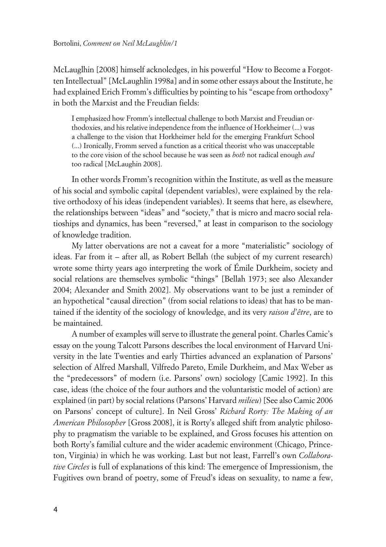McLauglhin [2008] himself acknoledges, in his powerful "How to Become a Forgotten Intellectual" [McLaughlin 1998a] and in some other essays about the Institute, he had explained Erich Fromm's difficulties by pointing to his "escape from orthodoxy" in both the Marxist and the Freudian fields:

I emphasized how Fromm's intellectual challenge to both Marxist and Freudian orthodoxies, and his relative independence from the influence of Horkheimer (...) was a challenge to the vision that Horkheimer held for the emerging Frankfurt School (...) Ironically, Fromm served a function as a critical theorist who was unacceptable to the core vision of the school because he was seen as *both* not radical enough *and* too radical [McLaughin 2008].

In other words Fromm's recognition within the Institute, as well as the measure of his social and symbolic capital (dependent variables), were explained by the relative orthodoxy of his ideas (independent variables). It seems that here, as elsewhere, the relationships between "ideas" and "society," that is micro and macro social relatioships and dynamics, has been "reversed," at least in comparison to the sociology of knowledge tradition.

My latter obervations are not a caveat for a more "materialistic" sociology of ideas. Far from it – after all, as Robert Bellah (the subject of my current research) wrote some thirty years ago interpreting the work of Émile Durkheim, society and social relations are themselves symbolic "things" [Bellah 1973; see also Alexander 2004; Alexander and Smith 2002]. My observations want to be just a reminder of an hypothetical "causal direction" (from social relations to ideas) that has to be mantained if the identity of the sociology of knowledge, and its very *raison d'être*, are to be maintained.

A number of examples will serve to illustrate the general point. Charles Camic's essay on the young Talcott Parsons describes the local environment of Harvard University in the late Twenties and early Thirties advanced an explanation of Parsons' selection of Alfred Marshall, Vilfredo Pareto, Emile Durkheim, and Max Weber as the "predecessors" of modern (i.e. Parsons' own) sociology [Camic 1992]. In this case, ideas (the choice of the four authors and the voluntaristic model of action) are explained (in part) by social relations (Parsons' Harvard *milieu*) [See also Camic 2006 on Parsons' concept of culture]. In Neil Gross' *Richard Rorty: The Making of an American Philosopher* [Gross 2008], it is Rorty's alleged shift from analytic philosophy to pragmatism the variable to be explained, and Gross focuses his attention on both Rorty's familial culture and the wider academic environment (Chicago, Princeton, Virginia) in which he was working. Last but not least, Farrell's own *Collaborative Circles* is full of explanations of this kind: The emergence of Impressionism, the Fugitives own brand of poetry, some of Freud's ideas on sexuality, to name a few,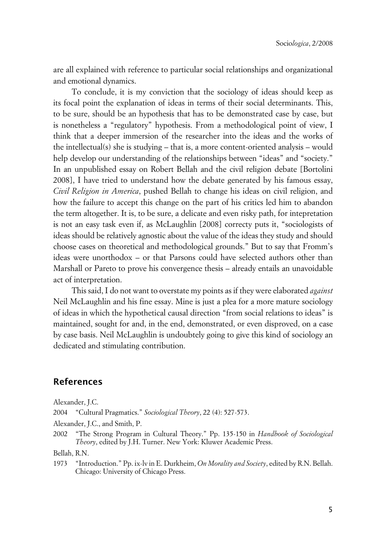are all explained with reference to particular social relationships and organizational and emotional dynamics.

To conclude, it is my conviction that the sociology of ideas should keep as its focal point the explanation of ideas in terms of their social determinants. This, to be sure, should be an hypothesis that has to be demonstrated case by case, but is nonetheless a "regulatory" hypothesis. From a methodological point of view, I think that a deeper immersion of the researcher into the ideas and the works of the intellectual(s) she is studying – that is, a more content-oriented analysis – would help develop our understanding of the relationships between "ideas" and "society." In an unpublished essay on Robert Bellah and the civil religion debate [Bortolini 2008], I have tried to understand how the debate generated by his famous essay, *Civil Religion in America*, pushed Bellah to change his ideas on civil religion, and how the failure to accept this change on the part of his critics led him to abandon the term altogether. It is, to be sure, a delicate and even risky path, for intepretation is not an easy task even if, as McLaughlin [2008] correcty puts it, "sociologists of ideas should be relatively agnostic about the value of the ideas they study and should choose cases on theoretical and methodological grounds." But to say that Fromm's ideas were unorthodox – or that Parsons could have selected authors other than Marshall or Pareto to prove his convergence thesis – already entails an unavoidable act of interpretation.

This said, I do not want to overstate my points as if they were elaborated *against* Neil McLaughlin and his fine essay. Mine is just a plea for a more mature sociology of ideas in which the hypothetical causal direction "from social relations to ideas" is maintained, sought for and, in the end, demonstrated, or even disproved, on a case by case basis. Neil McLaughlin is undoubtely going to give this kind of sociology an dedicated and stimulating contribution.

## **References**

Alexander, J.C.

2004 "Cultural Pragmatics." *Sociological Theory*, 22 (4): 527-573.

Alexander, J.C., and Smith, P.

Bellah, R.N.

1973 "Introduction." Pp. ix-lv in E. Durkheim, *On Morality and Society*, edited by R.N. Bellah. Chicago: University of Chicago Press.

<sup>2002</sup> "The Strong Program in Cultural Theory." Pp. 135-150 in *Handbook of Sociological Theory*, edited by J.H. Turner. New York: Kluwer Academic Press.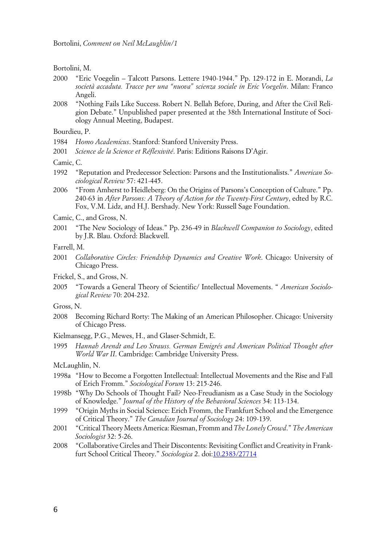Bortolini, M.

- 2000 "Eric Voegelin Talcott Parsons. Lettere 1940-1944." Pp. 129-172 in E. Morandi, *La società accaduta. Tracce per una "nuova" scienza sociale in Eric Voegelin*. Milan: Franco Angeli.
- 2008 "Nothing Fails Like Success. Robert N. Bellah Before, During, and After the Civil Religion Debate." Unpublished paper presented at the 38th International Institute of Sociology Annual Meeting, Budapest.

Bourdieu, P.

- 1984 *Homo Academicus*. Stanford: Stanford University Press.
- 2001 *Science de la Science et Réflexivité*. Paris: Editions Raisons D'Agir.

Camic, C.

- 1992 "Reputation and Predecessor Selection: Parsons and the Institutionalists." *American Sociological Review* 57: 421-445.
- 2006 "From Amherst to Heidleberg: On the Origins of Parsons's Conception of Culture." Pp. 240-63 in *After Parsons: A Theory of Action for the Twenty-First Century*, edted by R.C. Fox, V.M. Lidz, and H.J. Bershady. New York: Russell Sage Foundation.
- Camic, C., and Gross, N.
- 2001 "The New Sociology of Ideas." Pp. 236-49 in *Blackwell Companion to Sociology*, edited by J.R. Blau. Oxford: Blackwell.

Farrell, M.

2001 *Collaborative Circles: Friendship Dynamics and Creative Work*. Chicago: University of Chicago Press.

Frickel, S., and Gross, N.

2005 "Towards a General Theory of Scientific/ Intellectual Movements. " *American Sociological Review* 70: 204-232.

Gross, N.

- 2008 Becoming Richard Rorty: The Making of an American Philosopher. Chicago: University of Chicago Press.
- Kielmansegg, P.G., Mewes, H., and Glaser-Schmidt, E.
- 1995 *Hannah Arendt and Leo Strauss. German Emigrés and American Political Thought after World War II*. Cambridge: Cambridge University Press.

McLaughlin, N.

- 1998a "How to Become a Forgotten Intellectual: Intellectual Movements and the Rise and Fall of Erich Fromm." *Sociological Forum* 13: 215-246.
- 1998b "Why Do Schools of Thought Fail? Neo-Freudianism as a Case Study in the Sociology of Knowledge." *Journal of the History of the Behavioral Sciences* 34: 113-134.
- 1999 "Origin Myths in Social Science: Erich Fromm, the Frankfurt School and the Emergence of Critical Theory." *The Canadian Journal of Sociology* 24: 109-139.
- 2001 "Critical Theory Meets America: Riesman, Fromm and *The Lonely Crowd*." *The American Sociologist* 32: 5-26.
- 2008 "Collaborative Circles and Their Discontents: Revisiting Conflict and Creativity in Frankfurt School Critical Theory." *Sociologica* 2. doi[:10.2383/27714](http://www.sociologica.mulino.it/doi/10.2383/27714)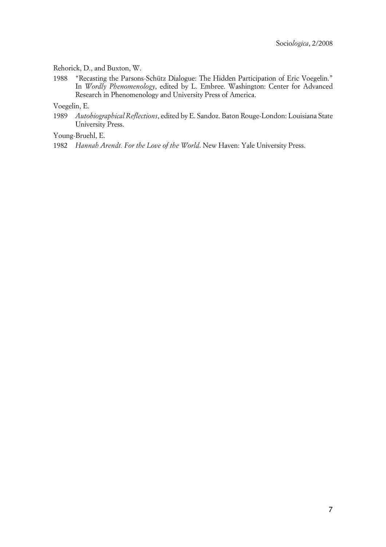#### Rehorick, D., and Buxton, W.

1988 "Recasting the Parsons-Schütz Dialogue: The Hidden Participation of Eric Voegelin." In *Wordly Phenomenology*, edited by L. Embree. Washington: Center for Advanced Research in Phenomenology and University Press of America.

Voegelin, E.

1989 *Autobiographical Reflections*, edited by E. Sandoz. Baton Rouge-London: Louisiana State University Press.

Young-Bruehl, E.

1982 *Hannah Arendt. For the Love of the World*. New Haven: Yale University Press.